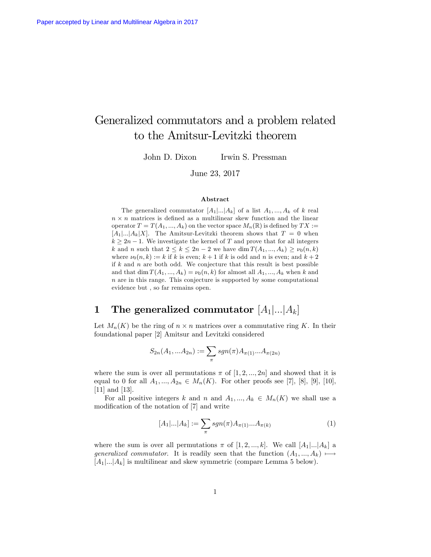# Generalized commutators and a problem related to the Amitsur-Levitzki theorem

John D. Dixon Irwin S. Pressman

June 23, 2017

#### Abstract

The generalized commutator  $[A_1]...[A_k]$  of a list  $A_1, ..., A_k$  of k real  $n \times n$  matrices is defined as a multilinear skew function and the linear operator  $T = T(A_1, ..., A_k)$  on the vector space  $M_n(\mathbb{R})$  is defined by  $TX :=$  $[A_1]...A_k]X$ . The Amitsur-Levitzki theorem shows that  $T = 0$  when  $k \geq 2n - 1$ . We investigate the kernel of T and prove that for all integers k and n such that  $2 \le k \le 2n-2$  we have  $\dim T(A_1, ..., A_k) \ge \nu_0(n, k)$ where  $\nu_0(n, k) := k$  if k is even;  $k + 1$  if k is odd and n is even; and  $k + 2$ if  $k$  and  $n$  are both odd. We conjecture that this result is best possible and that dim  $T(A_1, ..., A_k) = \nu_0(n, k)$  for almost all  $A_1, ..., A_k$  when k and n are in this range. This conjecture is supported by some computational evidence but , so far remains open.

# $\, {\bf 1} \quad {\bf The \,\, generalized \,\, commutator \,\,} [A_1] ... | A_k]$

Let  $M_n(K)$  be the ring of  $n \times n$  matrices over a commutative ring K. In their foundational paper [2] Amitsur and Levitzki considered

$$
S_{2n}(A_1,...A_{2n}) := \sum_{\pi} sgn(\pi) A_{\pi(1)}...A_{\pi(2n)}
$$

where the sum is over all permutations  $\pi$  of  $[1, 2, ..., 2n]$  and showed that it is equal to 0 for all  $A_1, ..., A_{2n} \in M_n(K)$ . For other proofs see [7], [8], [9], [10], [11] and [13].

For all positive integers k and n and  $A_1, ..., A_k \in M_n(K)$  we shall use a modification of the notation of [7] and write

$$
[A_1|...|A_k] := \sum_{\pi} sgn(\pi) A_{\pi(1)}...A_{\pi(k)} \tag{1}
$$

where the sum is over all permutations  $\pi$  of  $[1, 2, ..., k]$ . We call  $[A_1]...A_k]$  a generalized commutator. It is readily seen that the function  $(A_1, ..., A_k) \mapsto$  $[A_1]...A_k]$  is multilinear and skew symmetric (compare Lemma 5 below).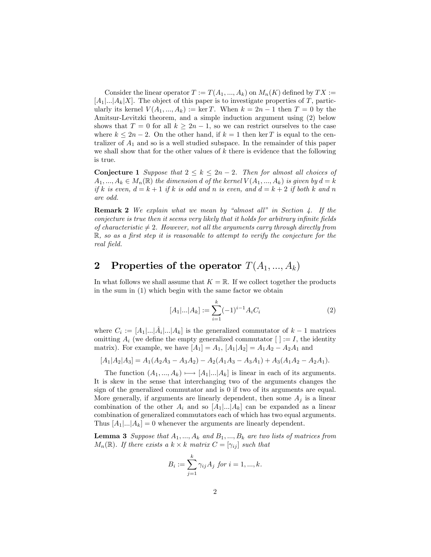Consider the linear operator  $T := T(A_1, ..., A_k)$  on  $M_n(K)$  defined by  $TX :=$  $[A_1]...A_k]X$ . The object of this paper is to investigate properties of T, particularly its kernel  $V(A_1,...,A_k) := \ker T$ . When  $k = 2n - 1$  then  $T = 0$  by the Amitsur-Levitzki theorem, and a simple induction argument using (2) below shows that  $T = 0$  for all  $k \geq 2n - 1$ , so we can restrict ourselves to the case where  $k \leq 2n - 2$ . On the other hand, if  $k = 1$  then ker T is equal to the centralizer of  $A_1$  and so is a well studied subspace. In the remainder of this paper we shall show that for the other values of  $k$  there is evidence that the following is true.

**Conjecture 1** Suppose that  $2 \leq k \leq 2n - 2$ . Then for almost all choices of  $A_1, ..., A_k \in M_n(\mathbb{R})$  the dimension d of the kernel  $V(A_1, ..., A_k)$  is given by  $d = k$ if k is even,  $d = k + 1$  if k is odd and n is even, and  $d = k + 2$  if both k and n are odd.

**Remark 2** We explain what we mean by "almost all" in Section 4. If the conjecture is true then it seems very likely that it holds for arbitrary infinite fields of characteristic  $\neq 2$ . However, not all the arguments carry through directly from  $\mathbb{R}$ , so as a first step it is reasonable to attempt to verify the conjecture for the real field.

### 2 Properties of the operator  $T(A_1, ..., A_k)$

In what follows we shall assume that  $K = \mathbb{R}$ . If we collect together the products in the sum in (1) which begin with the same factor we obtain

$$
[A_1|...|A_k] := \sum_{i=1}^k (-1)^{i-1} A_i C_i \tag{2}
$$

where  $C_i := [A_1|...|\hat{A}_i|...|A_k]$  is the generalized commutator of  $k - 1$  matrices omitting  $A_i$  (we define the empty generalized commutator  $[ \ ] := I$ , the identity matrix). For example, we have  $[A_1] = A_1$ ,  $[A_1 | A_2] = A_1 A_2 - A_2 A_1$  and

$$
[A_1|A_2|A_3] = A_1(A_2A_3 - A_3A_2) - A_2(A_1A_3 - A_3A_1) + A_3(A_1A_2 - A_2A_1).
$$

The function  $(A_1, ..., A_k) \mapsto [A_1|...|A_k]$  is linear in each of its arguments. It is skew in the sense that interchanging two of the arguments changes the sign of the generalized commutator and is 0 if two of its arguments are equal. More generally, if arguments are linearly dependent, then some  $A_i$  is a linear combination of the other  $A_i$  and so  $[A_1]...[A_k]$  can be expanded as a linear combination of generalized commutators each of which has two equal arguments. Thus  $[A_1]...A_k] = 0$  whenever the arguments are linearly dependent.

**Lemma 3** Suppose that  $A_1, ..., A_k$  and  $B_1, ..., B_k$  are two lists of matrices from  $M_n(\mathbb{R})$ . If there exists a  $k \times k$  matrix  $C = [\gamma_{ij}]$  such that

$$
B_i := \sum_{j=1}^k \gamma_{ij} A_j \text{ for } i = 1, ..., k.
$$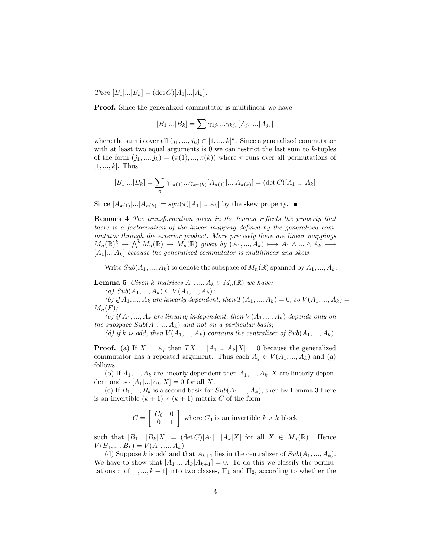$Then [B_1]...|B_k] = (\det C)[A_1]...|A_k].$ 

Proof. Since the generalized commutator is multilinear we have

$$
[B_1|...|B_k] = \sum \gamma_{1j_1}...\gamma_{kj_k} [A_{j_1}|...|A_{j_k}]
$$

where the sum is over all  $(j_1, ..., j_k) \in [1, ..., k]^k$ . Since a generalized commutator with at least two equal arguments is  $0$  we can restrict the last sum to  $k$ -tuples of the form  $(j_1, ..., j_k) = (\pi(1), ..., \pi(k))$  where  $\pi$  runs over all permutations of  $[1, ..., k]$ . Thus

$$
[B_1|...|B_k] = \sum_{\pi} \gamma_{1\pi(1)}...\gamma_{k\pi(k)}[A_{\pi(1)}|...|A_{\pi(k)}] = (\det C)[A_1|...|A_k]
$$

Since  $[A_{\pi(1)}|...|A_{\pi(k)}] = sgn(\pi)[A_1|...|A_k]$  by the skew property.

**Remark 4** The transformation given in the lemma reflects the property that there is a factorization of the linear mapping defined by the generalized commutator through the exterior product. More precisely there are linear mappings  $M_n(\mathbb{R})^k \to \bigwedge^k M_n(\mathbb{R}) \to M_n(\mathbb{R})$  given by  $(A_1, ..., A_k) \mapsto A_1 \wedge ... \wedge A_k \mapsto$  $[A_1]...A_k]$  because the generalized commutator is multilinear and skew.

Write  $Sub(A_1, ..., A_k)$  to denote the subspace of  $M_n(\mathbb{R})$  spanned by  $A_1, ..., A_k$ .

**Lemma 5** Given k matrices  $A_1, ..., A_k \in M_n(\mathbb{R})$  we have:

(a)  $Sub(A_1, ..., A_k) \subseteq V(A_1, ..., A_k);$ 

(b) if  $A_1, ..., A_k$  are linearly dependent, then  $T(A_1, ..., A_k) = 0$ , so  $V(A_1, ..., A_k) =$  $M_n(F);$ 

(c) if  $A_1, ..., A_k$  are linearly independent, then  $V(A_1, ..., A_k)$  depends only on the subspace  $Sub(A_1, ..., A_k)$  and not on a particular basis;

(d) if k is odd, then  $V(A_1, ..., A_k)$  contains the centralizer of  $Sub(A_1, ..., A_k)$ .

**Proof.** (a) If  $X = A_j$  then  $TX = [A_1]...|A_k|X] = 0$  because the generalized commutator has a repeated argument. Thus each  $A_i \in V(A_1, ..., A_k)$  and (a) follows.

(b) If  $A_1, ..., A_k$  are linearly dependent then  $A_1, ..., A_k, X$  are linearly dependent and so  $[A_1]...A_k|X] = 0$  for all X.

(c) If  $B_1, ..., B_k$  is a second basis for  $Sub(A_1, ..., A_k)$ , then by Lemma 3 there is an invertible  $(k + 1) \times (k + 1)$  matrix C of the form

$$
C=\left[\begin{array}{cc} C_0 & 0 \\ 0 & 1\end{array}\right]
$$
 where  $C_0$  is an invertible  $k\times k$  block

such that  $[B_1,...,B_k]X$  =  $(\det C)[A_1,...,A_k]X$  for all  $X \in M_n(\mathbb{R})$ . Hence  $V(B_1, ..., B_k) = V(A_1, ..., A_k).$ 

(d) Suppose k is odd and that  $A_{k+1}$  lies in the centralizer of  $Sub(A_1, ..., A_k)$ . We have to show that  $[A_1]...A_k|A_{k+1}]=0$ . To do this we classify the permutations  $\pi$  of  $[1, ..., k+1]$  into two classes,  $\Pi_1$  and  $\Pi_2$ , according to whether the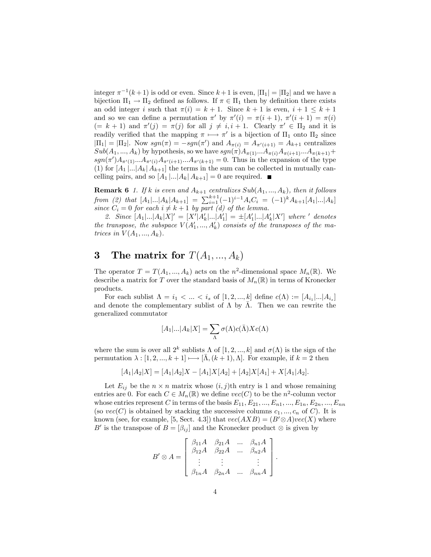integer  $\pi^{-1}(k+1)$  is odd or even. Since  $k+1$  is even,  $|\Pi_1| = |\Pi_2|$  and we have a bijection  $\Pi_1 \to \Pi_2$  defined as follows. If  $\pi \in \Pi_1$  then by definition there exists an odd integer i such that  $\pi(i) = k + 1$ . Since  $k + 1$  is even,  $i + 1 \leq k + 1$ and so we can define a permutation  $\pi'$  by  $\pi'(i) = \pi(i + 1), \pi'(i + 1) = \pi(i)$  $(= k + 1)$  and  $\pi'(j) = \pi(j)$  for all  $j \neq i, i + 1$ . Clearly  $\pi' \in \Pi_2$  and it is readily verified that the mapping  $\pi \mapsto \pi'$  is a bijection of  $\Pi_1$  onto  $\Pi_2$  since  $|\Pi_1| = |\Pi_2|$ . Now  $sgn(\pi) = -sgn(\pi')$  and  $A_{\pi(i)} = A_{\pi'(i+1)} = A_{k+1}$  centralizes  $Sub(A_1, ..., A_k)$  by hypothesis, so we have  $sgn(\pi)A_{\pi(1)}...A_{\pi(i)}A_{\pi(i+1)}...A_{\pi(k+1)}+$  $sgn(\pi')A_{\pi'(1)}...A_{\pi'(i)}A_{\pi'(i+1)}...A_{\pi'(k+1)} = 0$ . Thus in the expansion of the type (1) for  $[A_1]...A_k] A_{k+1}$  the terms in the sum can be collected in mutually cancelling pairs, and so  $[A_1 |...|A_k | A_{k+1}] = 0$  are required.

**Remark 6** 1. If k is even and  $A_{k+1}$  centralizes  $Sub(A_1, ..., A_k)$ , then it follows from (2) that  $[A_1|...|A_k|A_{k+1}] = \sum_{i=1}^{k+1} (-1)^{i-1} A_i C_i = (-1)^k A_{k+1}[A_1|...|A_k]$ since  $C_i = 0$  for each  $i \neq k+1$  by part (d) of the lemma.

2. Since  $[A_1]...|A_k|X]' = [X'|A'_k)...A'_1] = \pm [A'_1]...|A'_k|X']$  where ' denotes the transpose, the subspace  $V(A'_1, ..., A'_k)$  consists of the transposes of the matrices in  $V(A_1, ..., A_k)$ .

# 3 The matrix for  $T(A_1, ..., A_k)$

The operator  $T = T(A_1, ..., A_k)$  acts on the n<sup>2</sup>-dimensional space  $M_n(\mathbb{R})$ . We describe a matrix for T over the standard basis of  $M_n(\mathbb{R})$  in terms of Kronecker products.

For each sublist  $\Lambda = i_1 < ... < i_s$  of  $[1, 2, ..., k]$  define  $c(\Lambda) := [A_{i_1} | ... | A_{i_s}]$ and denote the complementary sublist of  $\Lambda$  by  $\overline{\Lambda}$ . Then we can rewrite the generalized commutator

$$
[A_1|...|A_k|X] = \sum_{\Lambda} \sigma(\Lambda) c(\bar{\Lambda}) X c(\Lambda)
$$

where the sum is over all  $2^k$  sublists  $\Lambda$  of  $[1, 2, ..., k]$  and  $\sigma(\Lambda)$  is the sign of the permutation  $\lambda : [1, 2, ..., k + 1] \longmapsto [\bar{\Lambda}, (k + 1), \Lambda]$ . For example, if  $k = 2$  then

$$
[A_1|A_2|X] = [A_1|A_2]X - [A_1]X[A_2] + [A_2]X[A_1] + X[A_1|A_2].
$$

Let  $E_{ij}$  be the  $n \times n$  matrix whose  $(i, j)$ th entry is 1 and whose remaining entries are 0. For each  $C \in M_n(\mathbb{R})$  we define  $vec(C)$  to be the  $n^2$ -column vector whose entries represent C in terms of the basis  $E_{11}, E_{21}, ..., E_{n1}, ..., E_{1n}, E_{2n}, ..., E_{nn}$ (so  $vec(C)$  is obtained by stacking the successive columns  $c_1, ..., c_n$  of C). It is known (see, for example, [5, Sect. 4.3]) that  $vec(AXB) = (B' \otimes A)vec(X)$  where B' is the transpose of  $B = [\beta_{ij}]$  and the Kronecker product  $\otimes$  is given by

$$
B' \otimes A = \begin{bmatrix} \beta_{11}A & \beta_{21}A & \dots & \beta_{n1}A \\ \beta_{12}A & \beta_{22}A & \dots & \beta_{n2}A \\ \vdots & \vdots & & \vdots \\ \beta_{1n}A & \beta_{2n}A & \dots & \beta_{nn}A \end{bmatrix}.
$$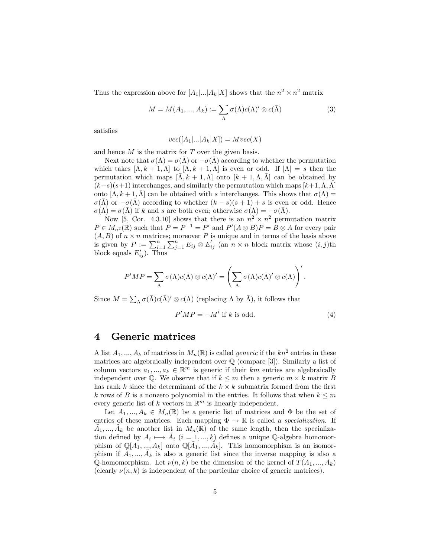Thus the expression above for  $[A_1|...|A_k|X]$  shows that the  $n^2 \times n^2$  matrix

$$
M = M(A_1, ..., A_k) := \sum_{\Lambda} \sigma(\Lambda) c(\Lambda)' \otimes c(\bar{\Lambda})
$$
 (3)

satisfies

$$
vec([A_1|...|A_k|X]) = Mvec(X)
$$

and hence  $M$  is the matrix for  $T$  over the given basis.

Next note that  $\sigma(\Lambda) = \sigma(\bar{\Lambda})$  or  $-\sigma(\bar{\Lambda})$  according to whether the permutation which takes  $[\Lambda, k + 1, \Lambda]$  to  $[\Lambda, k + 1, \Lambda]$  is even or odd. If  $|\Lambda| = s$  then the permutation which maps  $[\bar{\Lambda}, k + 1, \Lambda]$  onto  $[k + 1, \Lambda, \bar{\Lambda}]$  can be obtained by  $(k-s)(s+1)$  interchanges, and similarly the permutation which maps  $[k+1,\Lambda,\bar{\Lambda}]$ onto  $[\Lambda, k+1, \overline{\Lambda}]$  can be obtained with s interchanges. This shows that  $\sigma(\Lambda) =$  $\sigma(\Lambda)$  or  $-\sigma(\Lambda)$  according to whether  $(k - s)(s + 1) + s$  is even or odd. Hence  $\sigma(\Lambda) = \sigma(\bar{\Lambda})$  if k and s are both even; otherwise  $\sigma(\Lambda) = -\sigma(\bar{\Lambda})$ .

Now [5, Cor. 4.3.10] shows that there is an  $n^2 \times n^2$  permutation matrix  $P \in M_{n^2}(\mathbb{R})$  such that  $P = P^{-1} = P'$  and  $P'(A \otimes B)P = B \otimes A$  for every pair  $(A, B)$  of  $n \times n$  matrices; moreover P is unique and in terms of the basis above is given by  $P := \sum_{i=1}^n \sum_{j=1}^n E_{ij} \otimes E'_{ij}$  (an  $n \times n$  block matrix whose  $(i, j)$ th block equals  $E'_{ij}$ ). Thus

$$
P'MP = \sum_{\Lambda} \sigma(\Lambda)c(\overline{\Lambda}) \otimes c(\Lambda)' = \left(\sum_{\Lambda} \sigma(\Lambda)c(\overline{\Lambda})' \otimes c(\Lambda)\right)'.
$$

Since  $M = \sum_{\Lambda} \sigma(\bar{\Lambda}) c(\bar{\Lambda})' \otimes c(\Lambda)$  (replacing  $\Lambda$  by  $\bar{\Lambda}$ ), it follows that

$$
P'MP = -M' \text{ if } k \text{ is odd.} \tag{4}
$$

#### 4 Generic matrices

A list  $A_1, ..., A_k$  of matrices in  $M_n(\mathbb{R})$  is called *generic* if the  $kn^2$  entries in these matrices are algebraically independent over Q (compare [3]). Similarly a list of column vectors  $a_1, ..., a_k \in \mathbb{R}^m$  is generic if their km entries are algebraically independent over  $\mathbb Q$ . We observe that if  $k \leq m$  then a generic  $m \times k$  matrix B has rank k since the determinant of the  $k \times k$  submatrix formed from the first k rows of B is a nonzero polynomial in the entries. It follows that when  $k \leq m$ every generic list of  $k$  vectors in  $\mathbb{R}^m$  is linearly independent.

Let  $A_1, ..., A_k \in M_n(\mathbb{R})$  be a generic list of matrices and  $\Phi$  be the set of entries of these matrices. Each mapping  $\Phi \to \mathbb{R}$  is called a *specialization*. If  $\tilde{A}_1, ..., \tilde{A}_k$  be another list in  $M_n(\mathbb{R})$  of the same length, then the specialization defined by  $A_i \mapsto \tilde{A}_i$   $(i = 1, ..., k)$  defines a unique Q-algebra homomorphism of  $\mathbb{Q}[A_1, ..., A_k]$  onto  $\mathbb{Q}[\tilde{A}_1, ..., \tilde{A}_k]$ . This homomorphism is an isomorphism if  $\tilde{A}_1, ..., \tilde{A}_k$  is also a generic list since the inverse mapping is also a Q-homomorphism. Let  $\nu(n, k)$  be the dimension of the kernel of  $T(A_1, ..., A_k)$ (clearly  $\nu(n, k)$  is independent of the particular choice of generic matrices).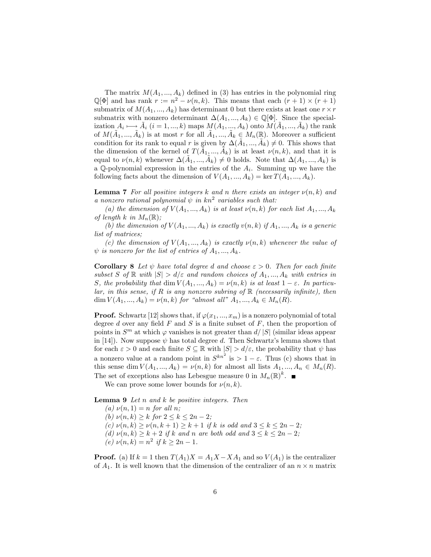The matrix  $M(A_1, ..., A_k)$  defined in (3) has entries in the polynomial ring  $\mathbb{Q}[\Phi]$  and has rank  $r := n^2 - \nu(n, k)$ . This means that each  $(r + 1) \times (r + 1)$ submatrix of  $M(A_1, ..., A_k)$  has determinant 0 but there exists at least one  $r \times r$ submatrix with nonzero determinant  $\Delta(A_1, ..., A_k) \in \mathbb{Q}[\Phi]$ . Since the specialization  $A_i \longmapsto \tilde{A}_i$   $(i = 1, ..., k)$  maps  $M(A_1, ..., A_k)$  onto  $M(\tilde{A}_1, ..., \tilde{A}_k)$  the rank of  $M(\tilde{A}_1, ..., \tilde{A}_k)$  is at most r for all  $\tilde{A}_1, ..., \tilde{A}_k \in M_n(\mathbb{R})$ . Moreover a sufficient condition for its rank to equal r is given by  $\Delta(\tilde{A}_1, ..., \tilde{A}_k) \neq 0$ . This shows that the dimension of the kernel of  $T(\tilde{A}_1, ..., \tilde{A}_k)$  is at least  $\nu(n, k)$ , and that it is equal to  $\nu(n,k)$  whenever  $\Delta(\tilde{A}_1, ..., \tilde{A}_k) \neq 0$  holds. Note that  $\Delta(A_1, ..., A_k)$  is a  $\mathbb Q$ -polynomial expression in the entries of the  $A_i$ . Summing up we have the following facts about the dimension of  $V(A_1, ..., A_k) = \ker T(A_1, ..., A_k)$ .

**Lemma 7** For all positive integers k and n there exists an integer  $\nu(n, k)$  and a nonzero rational polynomial  $\psi$  in kn<sup>2</sup> variables such that:

(a) the dimension of  $V(A_1, ..., A_k)$  is at least  $\nu(n, k)$  for each list  $A_1, ..., A_k$ of length k in  $M_n(\mathbb{R})$ ;

(b) the dimension of  $V(A_1,...,A_k)$  is exactly  $v(n,k)$  if  $A_1,...,A_k$  is a generic list of matrices;

(c) the dimension of  $V(A_1,...,A_k)$  is exactly  $\nu(n,k)$  whenever the value of  $\psi$  is nonzero for the list of entries of  $A_1, ..., A_k$ .

**Corollary 8** Let  $\psi$  have total degree d and choose  $\epsilon > 0$ . Then for each finite subset S of  $\mathbb R$  with  $|S| > d/\varepsilon$  and random choices of  $A_1, ..., A_k$  with entries in S, the probability that  $\dim V(A_1, ..., A_k) = \nu(n, k)$  is at least  $1 - \varepsilon$ . In particular, in this sense, if R is any nonzero subring of  $\mathbb R$  (necessarily infinite), then dim  $V(A_1, ..., A_k) = \nu(n, k)$  for "almost all"  $A_1, ..., A_k \in M_n(R)$ .

**Proof.** Schwartz [12] shows that, if  $\varphi(x_1, ..., x_m)$  is a nonzero polynomial of total degree d over any field  $F$  and  $S$  is a finite subset of  $F$ , then the proportion of points in  $S^m$  at which  $\varphi$  vanishes is not greater than  $d/|S|$  (similar ideas appear in [14]). Now suppose  $\psi$  has total degree d. Then Schwartz's lemma shows that for each  $\varepsilon > 0$  and each finite  $S \subseteq \mathbb{R}$  with  $|S| > d/\varepsilon$ , the probability that  $\psi$  has a nonzero value at a random point in  $S^{kn^2}$  is  $> 1 - \varepsilon$ . Thus (c) shows that in this sense dim  $V(A_1, ..., A_k) = \nu(n, k)$  for almost all lists  $A_1, ..., A_n \in M_n(R)$ . The set of exceptions also has Lebesgue measure 0 in  $M_n(\mathbb{R})^k$ .

We can prove some lower bounds for  $\nu(n, k)$ .

**Lemma 9** Let  $n$  and  $k$  be positive integers. Then

(a)  $\nu(n, 1) = n$  for all n; (b)  $\nu(n, k) \geq k$  for  $2 \leq k \leq 2n - 2$ ; (c)  $\nu(n, k) \geq \nu(n, k + 1) \geq k + 1$  if k is odd and  $3 \leq k \leq 2n - 2$ ; (d)  $\nu(n, k) \geq k + 2$  if k and n are both odd and  $3 \leq k \leq 2n - 2$ ; (e)  $\nu(n,k) = n^2$  if  $k \ge 2n - 1$ .

**Proof.** (a) If  $k = 1$  then  $T(A_1)X = A_1X - XA_1$  and so  $V(A_1)$  is the centralizer of  $A_1$ . It is well known that the dimension of the centralizer of an  $n \times n$  matrix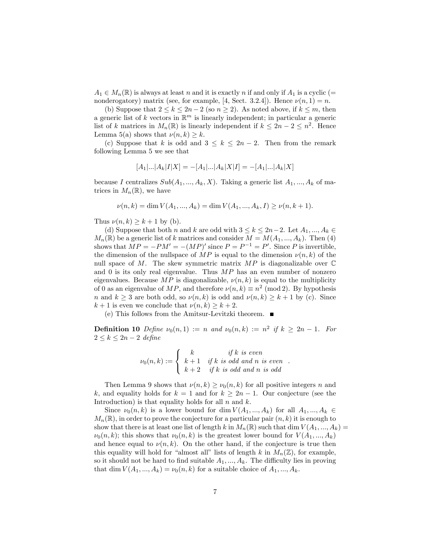$A_1 \in M_n(\mathbb{R})$  is always at least n and it is exactly n if and only if  $A_1$  is a cyclic (= nonderogatory) matrix (see, for example, [4, Sect. 3.2.4]). Hence  $\nu(n, 1) = n$ .

(b) Suppose that  $2 \leq k \leq 2n-2$  (so  $n \geq 2$ ). As noted above, if  $k \leq m$ , then a generic list of k vectors in  $\mathbb{R}^m$  is linearly independent; in particular a generic list of k matrices in  $M_n(\mathbb{R})$  is linearly independent if  $k \leq 2n - 2 \leq n^2$ . Hence Lemma 5(a) shows that  $\nu(n, k) \geq k$ .

(c) Suppose that k is odd and  $3 \leq k \leq 2n - 2$ . Then from the remark following Lemma 5 we see that

$$
[A_1|...|A_k|I|X] = -[A_1|...|A_k|X|I] = -[A_1|...|A_k|X]
$$

because I centralizes  $Sub(A_1, ..., A_k, X)$ . Taking a generic list  $A_1, ..., A_k$  of matrices in  $M_n(\mathbb{R})$ , we have

$$
\nu(n,k) = \dim V(A_1, ..., A_k) = \dim V(A_1, ..., A_k, I) \ge \nu(n, k+1).
$$

Thus  $\nu(n, k) \geq k + 1$  by (b).

(d) Suppose that both n and k are odd with  $3 \leq k \leq 2n-2$ . Let  $A_1, ..., A_k \in$  $M_n(\mathbb{R})$  be a generic list of k matrices and consider  $M = M(A_1, ..., A_k)$ . Then (4) shows that  $MP = -PM' = -(MP)'$  since  $P = P^{-1} = P'$ . Since P is invertible, the dimension of the nullspace of MP is equal to the dimension  $\nu(n, k)$  of the null space of M. The skew symmetric matrix  $MP$  is diagonalizable over  $\mathbb C$ and 0 is its only real eigenvalue. Thus  $MP$  has an even number of nonzero eigenvalues. Because MP is diagonalizable,  $\nu(n, k)$  is equal to the multiplicity of 0 as an eigenvalue of  $MP$ , and therefore  $\nu(n, k) \equiv n^2 \pmod{2}$ . By hypothesis n and  $k \geq 3$  are both odd, so  $\nu(n, k)$  is odd and  $\nu(n, k) \geq k + 1$  by (c). Since  $k + 1$  is even we conclude that  $\nu(n, k) \geq k + 2$ .

(e) This follows from the Amitsur-Levitzki theorem.

**Definition 10** Define  $\nu_0(n,1) := n$  and  $\nu_0(n,k) := n^2$  if  $k \geq 2n - 1$ . For  $2 \leq k \leq 2n-2$  define

$$
\nu_0(n,k) := \begin{cases}\nk & \text{if } k \text{ is even} \\
k+1 & \text{if } k \text{ is odd and } n \text{ is even} \\
k+2 & \text{if } k \text{ is odd and } n \text{ is odd}\n\end{cases}
$$

Then Lemma 9 shows that  $\nu(n, k) \geq \nu_0(n, k)$  for all positive integers n and k, and equality holds for  $k = 1$  and for  $k \geq 2n - 1$ . Our conjecture (see the Introduction) is that equality holds for all  $n$  and  $k$ .

Since  $\nu_0(n, k)$  is a lower bound for dim  $V(A_1, ..., A_k)$  for all  $A_1, ..., A_k \in$  $M_n(\mathbb{R})$ , in order to prove the conjecture for a particular pair  $(n, k)$  it is enough to show that there is at least one list of length k in  $M_n(\mathbb{R})$  such that dim  $V(A_1, ..., A_k)$  $\nu_0(n, k)$ ; this shows that  $\nu_0(n, k)$  is the greatest lower bound for  $V(A_1, ..., A_k)$ and hence equal to  $\nu(n, k)$ . On the other hand, if the conjecture is true then this equality will hold for "almost all" lists of length k in  $M_n(\mathbb{Z})$ , for example, so it should not be hard to find suitable  $A_1, ..., A_k$ . The difficulty lies in proving that dim  $V(A_1, ..., A_k) = \nu_0(n, k)$  for a suitable choice of  $A_1, ..., A_k$ .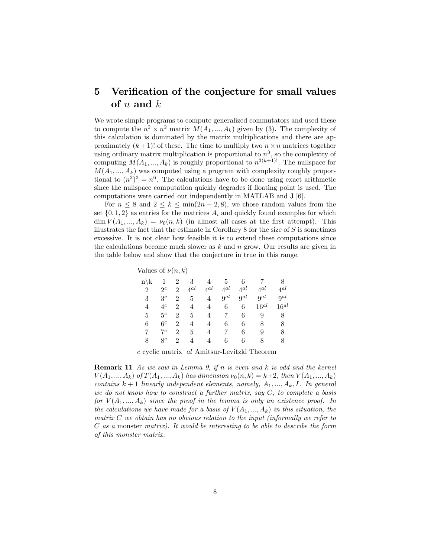## 5 Verification of the conjecture for small values of  $n$  and  $k$

We wrote simple programs to compute generalized commutators and used these to compute the  $n^2 \times n^2$  matrix  $M(A_1, ..., A_k)$  given by (3). The complexity of this calculation is dominated by the matrix multiplications and there are approximately  $(k+1)!$  of these. The time to multiply two  $n \times n$  matrices together using ordinary matrix multiplication is proportional to  $n^3$ , so the complexity of computing  $M(A_1, ..., A_k)$  is roughly proportional to  $n^{3(k+1)!}$ . The nullspace for  $M(A_1, ..., A_k)$  was computed using a program with complexity roughly proportional to  $(n^2)^3 = n^6$ . The calculations have to be done using exact arithmetic since the nullspace computation quickly degrades if floating point is used. The computations were carried out independently in MATLAB and J [6].

For  $n \leq 8$  and  $2 \leq k \leq \min(2n - 2, 8)$ , we chose random values from the set  $\{0, 1, 2\}$  as entries for the matrices  $A_i$  and quickly found examples for which  $\dim V(A_1,...,A_k) = \nu_0(n,k)$  (in almost all cases at the first attempt). This illustrates the fact that the estimate in Corollary  $8$  for the size of  $S$  is sometimes excessive. It is not clear how feasible it is to extend these computations since the calculations become much slower as  $k$  and  $n$  grow. Our results are given in the table below and show that the conjecture in true in this range.

| Values of $\nu(n,k)$ |  |  |  |  |
|----------------------|--|--|--|--|
|----------------------|--|--|--|--|

| $n \backslash k$ |                | 2              | 3              |          | 5.       | 6        |           |           |
|------------------|----------------|----------------|----------------|----------|----------|----------|-----------|-----------|
| $\overline{2}$   | $2^c$          | $\mathfrak{D}$ | $4^{al}$       | $4^{al}$ | $4^{al}$ | $4^{al}$ | $4^{al}$  | $4^{al}$  |
| 3                | 3 <sup>c</sup> | 2              | 5              | 4        | $9^{al}$ | $9^{al}$ | $Q^{al}$  | $9^{al}$  |
| 4                | $4^c$          | 2              | 4              |          | 6        | 6        | $16^{al}$ | $16^{al}$ |
| 5                | $5^c$          | 2              | 5              | 4        | 7        | 6        | 9         | 8         |
| 6                | 6 <sup>c</sup> | 2              | $\overline{4}$ |          | 6        | 6        | 8         | 8         |
|                  | $7^c$          | 2              | 5              | 4        | 7        | 6        | 9         | 8         |
| 8                | $8^c$          | 2              | 4              |          | 6        | 6        | 8         | 8         |
|                  |                |                |                |          |          |          |           |           |

c cyclic matrix al Amitsur-Levitzki Theorem

Remark 11 As we saw in Lemma 9, if n is even and k is odd and the kernel  $V(A_1, ..., A_k)$  of  $T(A_1, ..., A_k)$  has dimension  $\nu_0(n, k) = k+2$ , then  $V(A_1, ..., A_k)$ contains  $k + 1$  linearly independent elements, namely,  $A_1, ..., A_k, I$ . In general we do not know how to construct a further matrix, say  $C$ , to complete a basis for  $V(A_1,...,A_k)$  since the proof in the lemma is only an existence proof. In the calculations we have made for a basis of  $V(A_1,...,A_k)$  in this situation, the matrix  $C$  we obtain has no obvious relation to the input (informally we refer to C as a monster matrix). It would be interesting to be able to describe the form of this monster matrix.